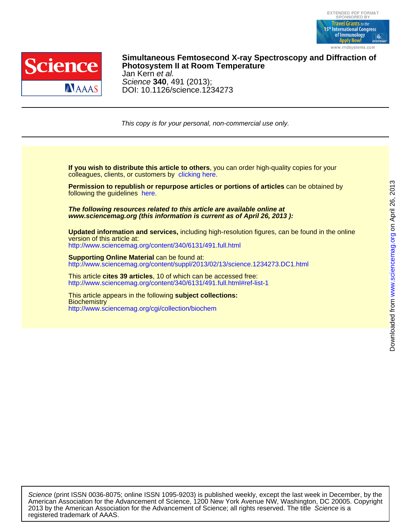



DOI: 10.1126/science.1234273 Science **340**, 491 (2013); Jan Kern et al. **Photosystem II at Room Temperature Simultaneous Femtosecond X-ray Spectroscopy and Diffraction of**

This copy is for your personal, non-commercial use only.

colleagues, clients, or customers by [clicking here.](http://www.sciencemag.org/about/permissions.dtl) **If you wish to distribute this article to others**, you can order high-quality copies for your

following the guidelines [here.](http://www.sciencemag.org/about/permissions.dtl) **Permission to republish or repurpose articles or portions of articles** can be obtained by

**www.sciencemag.org (this information is current as of April 26, 2013 ): The following resources related to this article are available online at**

<http://www.sciencemag.org/content/340/6131/491.full.html> version of this article at: **Updated information and services,** including high-resolution figures, can be found in the online

http://www.sciencemag.org/content/suppl/2013/02/13/science.1234273.DC1.html **Supporting Online Material** can be found at:

<http://www.sciencemag.org/content/340/6131/491.full.html#ref-list-1> This article **cites 39 articles**, 10 of which can be accessed free:

<http://www.sciencemag.org/cgi/collection/biochem> **Biochemistry** This article appears in the following **subject collections:**

registered trademark of AAAS. 2013 by the American Association for the Advancement of Science; all rights reserved. The title Science is a American Association for the Advancement of Science, 1200 New York Avenue NW, Washington, DC 20005. Copyright Science (print ISSN 0036-8075; online ISSN 1095-9203) is published weekly, except the last week in December, by the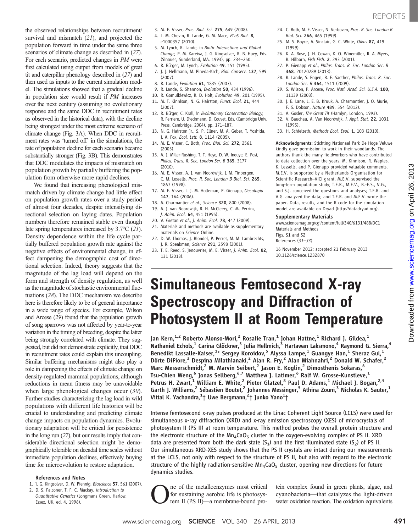the observed relationships between recruitment/ survival and mismatch  $(21)$ , and projected the population forward in time under the same three scenarios of climate change as described in  $(27)$ . For each scenario, predicted changes in PM were first calculated using output from models of great tit and caterpillar phenology described in (27) and then used as inputs to the current simulation model. The simulations showed that a gradual decline in population size would result if PM increases over the next century (assuming no evolutionary response and the same DDC in recruitment rates as observed in the historical data), with the decline being strongest under the most extreme scenario of climate change (Fig. 3A). When DDC in recruitment rates was 'turned off' in the simulations, the rate of population decline for each scenario became substantially stronger (Fig. 3B). This demonstrates that DDC modulates the impacts of mismatch on population growth by partially buffering the population from otherwise more rapid declines.

We found that increasing phenological mismatch driven by climate change had little effect on population growth rates over a study period of almost four decades, despite intensifying directional selection on laying dates. Population numbers therefore remained stable even though late spring temperatures increased by 3.7°C (21). Density dependence within the life cycle partially buffered population growth rate against the negative effects of environmental change, in effect dampening the demographic cost of directional selection. Indeed, theory suggests that the magnitude of the lag load will depend on the form and strength of density regulation, as well as the magnitude of stochastic environmental fluctuations (28). The DDC mechanism we describe here is therefore likely to be of general importance in a wide range of species. For example, Wilson and Arcese (29) found that the population growth of song sparrows was not affected by year-to-year variation in the timing of breeding, despite the latter being strongly correlated with climate. They suggested, but did not demonstrate explicitly, that DDC in recruitment rates could explain this uncoupling. Similar buffering mechanisms might also play a role in dampening the effects of climate change on density-regulated mammal populations, although reductions in mean fitness may be unavoidable when large phenological changes occur (30). Further studies characterizing the lag load in wild populations with different life histories will be crucial to understanding and predicting climate change impacts on population dynamics. Evolutionary adaptation will be critical for persistence in the long run  $(27)$ , but our results imply that considerable directional selection might be demographically tolerable on decadal time scales without immediate population declines, effectively buying time for microevolution to restore adaptation.

#### References and Notes

- 1. J. G. Kingsolver, D. W. Pfennig, Bioscience 57, 561 (2007). 2. D. S. Falconer, T. F. C. Mackay, Introduction to
- Quantitative Genetics (Longmans Green, Harlow, Essex, UK, ed. 4, 1996).
- 3. M. E. Visser, Proc. Biol. Sci. 275, 649 (2008).
- 4. L. M. Chevin, R. Lande, G. M. Mace, PLoS Biol. 8, e1000357 (2010).
- 5. M. Lynch, R. Lande, in Biotic Interactions and Global Change, P. M. Kareiva, J. G. Kingsolver, R. B. Huey, Eds. (Sinauer, Sunderland, MA, 1993), pp. 234–250.
- 6. R. Bürger, M. Lynch, Evolution 49, 151 (1995).
	- 7. J. J. Hellmann, M. Pineda-Krch, Biol. Conserv. 137, 599 (2007).
- 8. R. Lande, Evolution 61, 1835 (2007).
- 9. R. Lande, S. Shannon, Evolution 50, 434 (1996).
- 10. R. Gomulkiewicz, R. D. Holt, Evolution 49, 201 (1995). 11. M. T. Kinnison, N. G. Hairston, Funct. Ecol. 21, 444 (2007).
- 12. R. Bürger, C. Krall, in Evolutionary Conservation Biology, R. Ferriere, U. Dieckmann, D. Couvet, Eds. (Cambridge Univ. Press, Cambridge, 2004), pp. 171–187.
- 13. N. G. Hairston Jr., S. P. Ellner, M. A. Geber, T. Yoshida, J. A. Fox, Ecol. Lett. 8, 1114 (2005).
- 14. M. E. Visser, C. Both, Proc. Biol. Sci. 272, 2561 (2005).
- 15. A. J. Miller-Rushing, T. T. Hoye, D. W. Inouye, E. Post, Philos. Trans. R. Soc. London Ser. B 365, 3177 (2010).
- 16. M. E. Visser, A. J. van Noordwijk, J. M. Tinbergen, C. M. Lessells, Proc. R. Soc. London B Biol. Sci. 265, 1867 (1998).
- 17. M. E. Visser, L. J. M. Holleman, P. Gienapp, Oecologia 147, 164 (2006).
- 18. A. Charmantier et al., Science 320, 800 (2008).
- 19. A. J. van Noordwijk, R. H. McCleery, C. M. Perrins, J. Anim. Ecol. 64, 451 (1995).
- 20. V. Grøtan et al., J. Anim. Ecol. 78, 447 (2009). 21. Materials and methods are available as supplementary
- materials on Science Online. 22. D. W. Thomas, J. Blondel, P. Perret, M. M. Lambrechts,
- J. R. Speakman, Science 291, 2598 (2001). 23. T. E. Reed, S. Jenouvrier, M. E. Visser, J. Anim. Ecol. 82, 131 (2013).
- 24. C. Both, M. E. Visser, N. Verboven, Proc. R. Soc. London B Biol. Sci. 266, 465 (1999).
- 25. M. S. Boyce, A. Sinclair, G. C. White, Oikos 87, 419 (1999).
- 26. K. A. Rose, J. H. Cowan, K. O. Winemiller, R. A. Myers, R. Hilborn, Fish Fish. 2, 293 (2001).
- 27. P. Gienapp et al., Philos. Trans. R. Soc. London Ser. B 368, 20120289 (2013).
- 28. R. Lande, S. Engen, B. E. Saether, Philos. Trans. R. Soc. London Ser. B 364, 1511 (2009).
- 29. S. Wilson, P. Arcese, Proc. Natl. Acad. Sci. U.S.A. 100, 11139 (2003).
- 30. J. E. Lane, L. E. B. Kruuk, A. Charmantier, J. O. Murie, F. S. Dobson, Nature 489, 554 (2012).
- 31. A. Gosler, The Great Tit (Hamlyn, London, 1993).
- 32. V. Bauchau, A. Van Noordwijk, J. Appl. Stat. 22, 1031 (1995).
- 33. H. Schielzeth, Methods Ecol. Evol. 1, 103 (2010).

Acknowledgments: Stichting Nationaal Park De Hoge Veluwe kindly gave permission to work in their woodlands. The authors thank the many fieldworkers who have contributed to data collection over the years. M. Kinnison, R. Waples, K. Lessells, and P. Gienapp provided valuable comments. M.E.V. is supported by a Netherlands Organisation for Scientific Research–VICI grant. M.E.V. supervised the long-term population study; T.E.R., M.E.V., B.-E.S., V.G., and S.J. conceived the questions and analyses; T.E.R. and V.G. analyzed the data; and T.E.R. and M.E.V. wrote the paper. Data, results, and the R code for the simulation model are available on Dryad (http://datadryad.org).

#### Supplementary Materials

www.sciencemag.org/cgi/content/full/340/6131/488/DC1 Materials and Methods Figs. S1 and S2 References (31–33)

16 November 2012; accepted 21 February 2013 10.1126/science.1232870

## Simultaneous Femtosecond X-ray Spectroscopy and Diffraction of Photosystem II at Room Temperature

Jan Kern, $1,2$  Roberto Alonso-Mori,<sup>2</sup> Rosalie Tran,<sup>1</sup> Johan Hattne,<sup>1</sup> Richard J. Gildea,<sup>1</sup> Nathaniel Echols,<sup>1</sup> Carina Glöckner,<sup>3</sup> Julia Hellmich,<sup>3</sup> Hartawan Laksmono,<sup>4</sup> Raymond G. Sierra,<sup>4</sup> Benedikt Lassalle-Kaiser,<sup>1</sup>\* Sergey Koroidov,<sup>5</sup> Alyssa Lampe,<sup>1</sup> Guangye Han,<sup>1</sup> Sheraz Gul,<sup>1</sup> Dörte DiFiore,<sup>3</sup> Despina Milathianaki,<sup>2</sup> Alan R. Fry,<sup>2</sup> Alan Miahnahri,<sup>2</sup> Donald W. Schafer,<sup>2</sup> Marc Messerschmidt,<sup>2</sup> M. Marvin Seibert,<sup>2</sup> Jason E. Koglin,<sup>2</sup> Dimosthenis Sokaras,<sup>6</sup> Tsu-Chien Weng,<sup>6</sup> Jonas Sellberg,<sup>6,7</sup> Matthew J. Latimer,<sup>6</sup> Ralf W. Grosse-Kunstleve,<sup>1</sup> Petrus H. Zwart,<sup>1</sup> William E. White,<sup>2</sup> Pieter Glatzel,<sup>8</sup> Paul D. Adams,<sup>1</sup> Michael J. Bogan,<sup>2,4</sup> Garth J. Williams,<sup>2</sup> Sébastien Boutet,<sup>2</sup> Johannes Messinger,<sup>5</sup> Athina Zouni,<sup>3</sup> Nicholas K. Sauter,<sup>1</sup> Vittal K. Yachandra, $1$ † Uwe Bergmann, $2$ † Junko Yano $1$ †

Intense femtosecond x-ray pulses produced at the Linac Coherent Light Source (LCLS) were used for simultaneous x-ray diffraction (XRD) and x-ray emission spectroscopy (XES) of microcrystals of photosystem II (PS II) at room temperature. This method probes the overall protein structure and the electronic structure of the  $Mn_4$ CaO<sub>5</sub> cluster in the oxygen-evolving complex of PS II. XRD data are presented from both the dark state  $(S_1)$  and the first illuminated state  $(S_2)$  of PS II. Our simultaneous XRD-XES study shows that the PS II crystals are intact during our measurements at the LCLS, not only with respect to the structure of PS II, but also with regard to the electronic structure of the highly radiation-sensitive  $Mn_4$ CaO<sub>5</sub> cluster, opening new directions for future dynamics studies.

The of the metalloenzymes most critical<br>for sustaining aerobic life is photosys-<br>tem II (PS II)—a membrane-bound profor sustaining aerobic life is photosystem II (PS II)—a membrane-bound pro-

tein complex found in green plants, algae, and cyanobacteria—that catalyzes the light-driven water oxidation reaction. The oxidation equivalents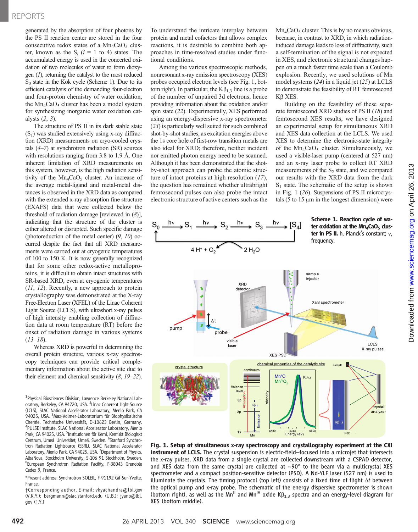generated by the absorption of four photons by the PS II reaction center are stored in the four consecutive redox states of a  $Mn_4CaO_5$  cluster, known as the  $S_i$  ( $i = 1$  to 4) states. The accumulated energy is used in the concerted oxidation of two molecules of water to form dioxygen  $(1)$ , returning the catalyst to the most reduced  $S<sub>0</sub>$  state in the Kok cycle (Scheme 1). Due to its efficient catalysis of the demanding four-electron and four-proton chemistry of water oxidation, the  $Mn_4CaO<sub>5</sub>$  cluster has been a model system for synthesizing inorganic water oxidation catalysts (2, 3).

The structure of PS II in its dark stable state  $(S<sub>1</sub>)$  was studied extensively using x-ray diffraction (XRD) measurements on cryo-cooled crystals  $(4-7)$  at synchrotron radiation  $(SR)$  sources with resolutions ranging from 3.8 to 1.9 Å. One inherent limitation of XRD measurements on this system, however, is the high radiation sensitivity of the  $Mn_4CaO<sub>5</sub>$  cluster. An increase of the average metal-ligand and metal-metal distances is observed in the XRD data as compared with the extended x-ray absorption fine structure (EXAFS) data that were collected below the threshold of radiation damage [reviewed in  $(8)$ ], indicating that the structure of the cluster is either altered or disrupted. Such specific damage (photoreduction of the metal center) (9, 10) occurred despite the fact that all XRD measurements were carried out at cryogenic temperatures of 100 to 150 K. It is now generally recognized that for some other redox-active metalloproteins, it is difficult to obtain intact structures with SR-based XRD, even at cryogenic temperatures (11, 12). Recently, a new approach to protein crystallography was demonstrated at the X-ray Free-Electron Laser (XFEL) of the Linac Coherent Light Source (LCLS), with ultrashort x-ray pulses of high intensity enabling collection of diffraction data at room temperature (RT) before the onset of radiation damage in various systems  $(13–18)$ .

Whereas XRD is powerful in determining the overall protein structure, various x-ray spectroscopy techniques can provide critical complementary information about the active site due to their element and chemical sensitivity (8, 19–22).

To understand the intricate interplay between protein and metal cofactors that allows complex reactions, it is desirable to combine both approaches in time-resolved studies under functional conditions.

Among the various spectroscopic methods, nonresonant x-ray emission spectroscopy (XES) probes occupied electron levels (see Fig. 1, bottom right). In particular, the  $K\beta_{1,3}$  line is a probe of the number of unpaired 3d electrons, hence providing information about the oxidation and/or spin state (22). Experimentally, XES performed using an energy-dispersive x-ray spectrometer (23) is particularly well suited for such combined shot-by-shot studies, as excitation energies above the 1s core hole of first-row transition metals are also ideal for XRD; therefore, neither incident nor emitted photon energy need to be scanned. Although it has been demonstrated that the shotby-shot approach can probe the atomic structure of intact proteins at high resolution (17), the question has remained whether ultrabright femtosecond pulses can also probe the intact electronic structure of active centers such as the

 $Mn_4CaO<sub>5</sub>$  cluster. This is by no means obvious, because, in contrast to XRD, in which radiationinduced damage leads to loss of diffractivity, such a self-termination of the signal is not expected in XES, and electronic structural changes happen on a much faster time scale than a Coulomb explosion. Recently, we used solutions of Mn model systems (24) in a liquid jet (25) at LCLS to demonstrate the feasibility of RT femtosecond  $K\beta$  XES.

Building on the feasibility of these separate femtosecond XRD studies of PS II (18) and femtosecond XES results, we have designed an experimental setup for simultaneous XRD and XES data collection at the LCLS. We used XES to determine the electronic-state integrity of the  $Mn_4CaO<sub>5</sub>$  cluster. Simultaneously, we used a visible-laser pump (centered at 527 nm) and an x-ray laser probe to collect RT XRD measurements of the  $S_2$  state, and we compared our results with the XRD data from the dark  $S_1$  state. The schematic of the setup is shown in Fig. 1 (26). Suspensions of PS II microcrystals  $(5 \text{ to } 15 \text{ µm} \text{ in the longest dimension})$  were



Fig. 1. Setup of simultaneous x-ray spectroscopy and crystallography experiment at the CXI instrument of LCLS. The crystal suspension is electric-field–focused into a microjet that intersects the x-ray pulses. XRD data from a single crystal are collected downstream with a CSPAD detector, and XES data from the same crystal are collected at  $\sim$ 90 $^{\circ}$  to the beam via a multicrystal XES spectrometer and a compact position-sensitive detector (PSD). A Nd-YLF laser (527 nm) is used to illuminate the crystals. The timing protocol (top left) consists of a fixed time of flight  $\Delta t$  between the optical pump and x-ray probe. The schematic of the energy dispersive spectrometer is shown (bottom right), as well as the Mn<sup>II</sup> and Mn<sup>IV</sup> oxide K $\beta_{1,3}$  spectra and an energy-level diagram for XES (bottom middle).

<sup>&</sup>lt;sup>1</sup>Physical Biosciences Division, Lawrence Berkeley National Laboratory, Berkeley, CA 94720, USA. <sup>2</sup> Linac Coherent Light Source (LCLS), SLAC National Accelerator Laboratory, Menlo Park, CA 94025, USA. <sup>3</sup>Max-Volmer-Laboratorium für Biophysikalische Chemie, Technische Universität, D-10623 Berlin, Germany. 4 PULSE Institute, SLAC National Accelerator Laboratory, Menlo Park, CA 94025, USA. <sup>5</sup>Institutionen för Kemi, Kemiskt Biologiskt Centrum, Umeå Universitet, Umeå, Sweden. <sup>6</sup>Stanford Synchrotron Radiation Lightsource (SSRL), SLAC National Accelerator Laboratory, Menlo Park, CA 94025, USA. <sup>7</sup> Department of Physics, AlbaNova, Stockholm University, S-106 91 Stockholm, Sweden. <sup>8</sup>European Synchrotron Radiation Facility, F-38043 Grenoble Cedex 9, France.

<sup>\*</sup>Present address: Synchrotron SOLEIL, F-91192 Gif-Sur-Yvette, France.

<sup>†</sup>Corresponding author. E-mail: vkyachandra@lbl.gov (V.K.Y.); bergmann@slac.stanford.edu (U.B.); jyano@lbl. gov (J.Y.)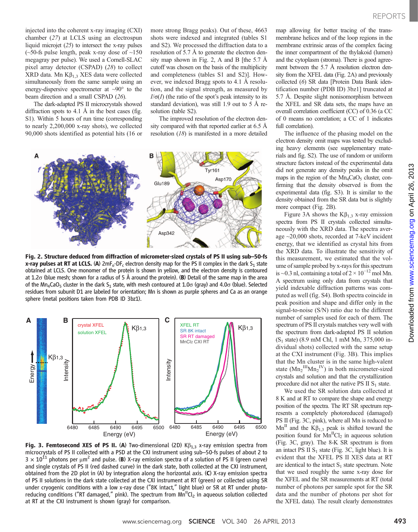injected into the coherent x-ray imaging (CXI) chamber (27) at LCLS using an electrospun liquid microjet  $(25)$  to intersect the x-ray pulses (~50-fs pulse length, peak x-ray dose of ~150 megagray per pulse). We used a Cornell-SLAC pixel array detector (CSPAD) (28) to collect  $XRD$  data. Mn  $K\beta_{1,3}$  XES data were collected simultaneously from the same sample using an energy-dispersive spectrometer at ~90° to the beam direction and a small CSPAD (26).

The dark-adapted PS II microcrystals showed diffraction spots to 4.1 Å in the best cases (fig. S1). Within 5 hours of run time (corresponding to nearly 2,200,000 x-ray shots), we collected 90,000 shots identified as potential hits (16 or more strong Bragg peaks). Out of these, 4663 shots were indexed and integrated (tables S1 and S2). We processed the diffraction data to a resolution of 5.7 Å to generate the electron density map shown in Fig. 2, A and B [the 5.7 Å cutoff was chosen on the basis of the multiplicity and completeness (tables S1 and S2)]. However, we indexed Bragg spots to 4.1 Å resolution, and the signal strength, as measured by  $I/\sigma(I)$  (the ratio of the spot's peak intensity to its standard deviation), was still 1.9 out to 5 Å resolution (table S2).

The improved resolution of the electron density compared with that reported earlier at 6.5 Å resolution (18) is manifested in a more detailed



Fig. 2. Structure deduced from diffraction of micrometer-sized crystals of PS II using sub*–*50-fs x-ray pulses at RT at LCLS. (A)  $2mF_0-DF_c$  electron density map for the PS II complex in the dark  $S_1$  state obtained at LCLS. One monomer of the protein is shown in yellow, and the electron density is contoured at 1.2 $\sigma$  (blue mesh; shown for a radius of 5 Å around the protein). (B) Detail of the same map in the area of the Mn<sub>4</sub>CaO<sub>5</sub> cluster in the dark S<sub>1</sub> state, with mesh contoured at 1.0 $\sigma$  (gray) and 4.0 $\sigma$  (blue). Selected residues from subunit D1 are labeled for orientation; Mn is shown as purple spheres and Ca as an orange sphere (metal positions taken from PDB ID 3bz1).



Fig. 3. Femtosecond XES of PS II. (A) Two-dimensional (2D)  $K\beta_{1,3}$  x-ray emission spectra from microcrystals of PS II collected with a PSD at the CXI instrument using sub–50-fs pulses of about 2 to  $3 \times 10^{11}$  photons per  $\mu$ m<sup>2</sup> and pulse. (B) X-ray emission spectra of a solution of PS II (green curve) and single crystals of PS II (red dashed curve) in the dark state, both collected at the CXI instrument, obtained from the 2D plot in (A) by integration along the horizontal axis. (C) X-ray emission spectra of PS II solutions in the dark state collected at the CXI instrument at RT (green) or collected using SR under cryogenic conditions with a low x-ray dose ("8K intact," light blue) or SR at RT under photoreducing conditions ("RT damaged," pink). The spectrum from  $Mn^UCl<sub>2</sub>$  in aqueous solution collected at RT at the CXI instrument is shown (gray) for comparison.

map allowing for better tracing of the transmembrane helices and of the loop regions in the membrane extrinsic areas of the complex facing the inner compartment of the thylakoid (lumen) and the cytoplasm (stroma). There is good agreement between the 5.7 Å resolution electron density from the XFEL data (Fig. 2A) and previously collected (6) SR data [Protein Data Bank identification number (PDB ID) 3bz1] truncated at 5.7 Å. Despite slight nonisomorphism between the XFEL and SR data sets, the maps have an overall correlation coefficient (CC) of 0.36 (a CC of 0 means no correlation; a CC of 1 indicates full correlation).

The influence of the phasing model on the electron density omit maps was tested by excluding heavy elements (see supplementary materials and fig. S2). The use of random or uniform structure factors instead of the experimental data did not generate any density peaks in the omit maps in the region of the  $Mn_4CaO<sub>5</sub>$  cluster, confirming that the density observed is from the experimental data (fig. S3). It is similar to the density obtained from the SR data but is slightly more compact (Fig. 2B).

Figure 3A shows the  $K\beta_{1,3}$  x-ray emission spectra from PS II crystals collected simultaneously with the XRD data. The spectra average ~20,000 shots, recorded at 7-keV incident energy, that we identified as crystal hits from the XRD data. To illustrate the sensitivity of this measurement, we estimated that the volume of sample probed by x-rays for this spectrum is ~0.3 nl, containing a total of 2 × 10*−*<sup>12</sup> mol Mn. A spectrum using only data from crystals that yield indexable diffraction patterns was computed as well (fig. S4). Both spectra coincide in peak position and shape and differ only in the signal-to-noise (S/N) ratio due to the different number of samples used for each of them. The spectrum of PS II crystals matches very well with the spectrum from dark-adapted PS II solution  $(S_1 \text{ state})$  (8.9 mM Chl, 1 mM Mn, 375,000 individual shots) collected with the same setup at the CXI instrument (Fig. 3B). This implies that the Mn cluster is in the same high-valent state  $(Mn_2$ <sup>III</sup> $Mn_2$ <sup>IV</sup>) in both micrometer-sized crystals and solution and that the crystallization procedure did not alter the native PS II  $S_1$  state.

We used the SR solution data collected at 8 K and at RT to compare the shape and energy position of the spectra. The RT SR spectrum represents a completely photoreduced (damaged) PS II (Fig. 3C, pink), where all Mn is reduced to  $Mn<sup>II</sup>$  and the K $\beta_{1,3}$  peak is shifted toward the position found for  $Mn<sup>H</sup>Cl<sub>2</sub>$  in aqueous solution (Fig. 3C, gray). The 8-K SR spectrum is from an intact PS II  $S_1$  state (Fig. 3C, light blue). It is evident that the XFEL PS II XES data at RT are identical to the intact  $S_1$  state spectrum. Note that we used roughly the same x-ray dose for the XFEL and the SR measurements at RT (total number of photons per sample spot for the SR data and the number of photons per shot for the XFEL data). The result clearly demonstrates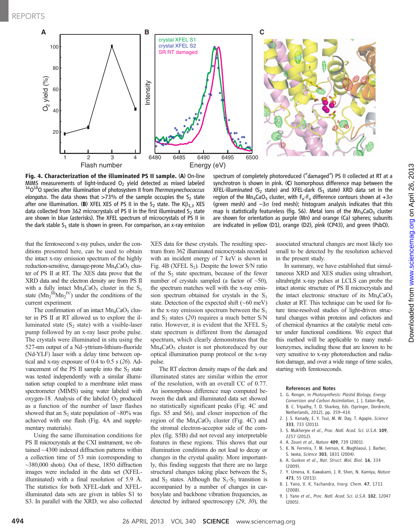

**Fig. 4. Characterization of the illuminated PS II sample.** (A) On-line MIMS measurements of light-induced  $O_2$  yield detected as mixed labeled  $160^{18}$ O species after illumination of photosystem II from Thermosynechococcus elongatus. The data shows that  $>73\%$  of the sample occupies the S<sub>2</sub> state after one illumination. (B) XFEL XES of PS II in the  $S_2$  state. The  $K\beta_{1,3}$  XES data collected from 362 microcrystals of PS II in the first illuminated  $S<sub>2</sub>$  state are shown in blue (asterisks). The XFEL spectrum of microcrystals of PS II in the dark stable  $S_1$  state is shown in green. For comparison, an x-ray emission

spectrum of completely photoreduced ("damaged") PS II collected at RT at a synchrotron is shown in pink. (C) Isomorphous difference map between the XFEL-illuminated (S<sub>2</sub> state) and XFEL-dark (S<sub>1</sub> state) XRD data set in the region of the  $Mn_4$ CaO<sub>5</sub> cluster, with  $F_o-F_o$  difference contours shown at +3 $\sigma$ (green mesh) and  $-3\sigma$  (red mesh); histogram analysis indicates that this map is statistically featureless (fig.  $56$ ). Metal ions of the  $Mn_4$ CaO<sub>5</sub> cluster are shown for orientation as purple (Mn) and orange (Ca) spheres; subunits are indicated in yellow (D1), orange (D2), pink (CP43), and green (PsbO).

that the femtosecond x-ray pulses, under the conditions presented here, can be used to obtain the intact x-ray emission spectrum of the highly reduction-sensitive, damage-prone  $Mn_4CaO<sub>5</sub>$  cluster of PS II at RT. The XES data prove that the XRD data and the electron density are from PS II with a fully intact  $Mn_4CaO_5$  cluster in the  $S_1$ state  $(Mn_2$ <sup>III</sup> $Mn_2$ <sup>IV</sup>) under the conditions of the current experiment.

The confirmation of an intact  $Mn_4CaO<sub>5</sub>$  cluster in PS II at RT allowed us to explore the illuminated state  $(S_2 \text{ state})$  with a visible-laser pump followed by an x-ray laser probe pulse. The crystals were illuminated in situ using the 527-nm output of a Nd–yttrium-lithium-fluoride (Nd-YLF) laser with a delay time between optical and x-ray exposure of  $0.4$  to  $0.5$  s  $(26)$ . Advancement of the PS II sample into the  $S<sub>2</sub>$  state was tested independently with a similar illumination setup coupled to a membrane inlet mass spectrometer (MIMS) using water labeled with oxygen-18. Analysis of the labeled  $O<sub>2</sub>$  produced as a function of the number of laser flashes showed that an  $S_2$  state population of ~80% was achieved with one flash (Fig. 4A and supplementary materials).

Using the same illumination conditions for PS II microcrystals at the CXI instrument, we obtained ~4300 indexed diffraction patterns within a collection time of 53 min (corresponding to ~380,000 shots). Out of these, 1850 diffraction images were included in the data set (XFELilluminated) with a final resolution of 5.9 Å. The statistics for both XFEL-dark and XFELilluminated data sets are given in tables S1 to S3. In parallel with the XRD, we also collected

XES data for these crystals. The resulting spectrum from 362 illuminated microcrystals recorded with an incident energy of 7 keV is shown in Fig. 4B (XFEL  $S_2$ ). Despite the lower S/N ratio of the  $S_2$  state spectrum, because of the fewer number of crystals sampled (a factor of ~50), the spectrum matches well with the x-ray emission spectrum obtained for crystals in the  $S_1$ state. Detection of the expected shift  $(\sim 60 \text{ meV})$ in the x-ray emission spectrum between the  $S_1$ and  $S_2$  states (20) requires a much better S/N ratio. However, it is evident that the XFEL  $S<sub>2</sub>$ state spectrum is different from the damaged spectrum, which clearly demonstrates that the  $Mn_4CaO<sub>5</sub>$  cluster is not photoreduced by our optical illumination pump protocol or the x-ray pulse.

The RT electron density maps of the dark and illuminated states are similar within the error of the resolution, with an overall CC of 0.77. An isomorphous difference map computed between the dark and illuminated data set showed no statistically significant peaks (Fig. 4C and figs. S5 and S6), and closer inspection of the region of the  $Mn_4CaO<sub>5</sub>$  cluster (Fig. 4C) and the stromal electron-acceptor side of the complex (fig. S5B) did not reveal any interpretable features in these regions. This shows that our illumination conditions do not lead to decay or changes in the crystal quality. More importantly, this finding suggests that there are no large structural changes taking place between the  $S_1$ and  $S_2$  states. Although the  $S_1-S_2$  transition is accompanied by a number of changes in carboxylate and backbone vibration frequencies, as detected by infrared spectroscopy (29, 30), the

associated structural changes are most likely too small to be detected by the resolution achieved in the present study.

In summary, we have established that simultaneous XRD and XES studies using ultrashort, ultrabright x-ray pulses at LCLS can probe the intact atomic structure of PS II microcrystals and the intact electronic structure of its  $Mn_4CaO<sub>5</sub>$ cluster at RT. This technique can be used for future time-resolved studies of light-driven structural changes within proteins and cofactors and of chemical dynamics at the catalytic metal center under functional conditions. We expect that this method will be applicable to many metalloenzymes, including those that are known to be very sensitive to x-ray photoreduction and radiation damage, and over a wide range of time scales, starting with femtoseconds.

#### References and Notes

- 1. G. Renger, in Photosynthesis: Plastid Biology, Energy Conversion and Carbon Assimilation, J. J. Eaton-Rye, B. C. Tripathy, T. D. Sharkey, Eds. (Springer, Dordrecht, Netherlands, 2012), pp. 359–414.
- 2. J. S. Kanady, E. Y. Tsui, M. W. Day, T. Agapie, Science 333, 733 (2011).
- 3. S. Mukherjee et al., Proc. Natl. Acad. Sci. U.S.A. 109, 2257 (2012).
- 4. A. Zouni et al., Nature 409, 739 (2001).
- 5. K. N. Ferreira, T. M. Iverson, K. Maghlaoui, J. Barber, S. Iwata, Science 303, 1831 (2004).
- 6. A. Guskov et al., Nat. Struct. Mol. Biol. 16, 334 (2009).
- 7. Y. Umena, K. Kawakami, J. R. Shen, N. Kamiya, Nature 473, 55 (2011).
- 8. J. Yano, V. K. Yachandra, *Inorg. Chem.* 47, 1711 (2008).
- 9. J. Yano et al., Proc. Natl. Acad. Sci. U.S.A. 102, 12047 (2005).